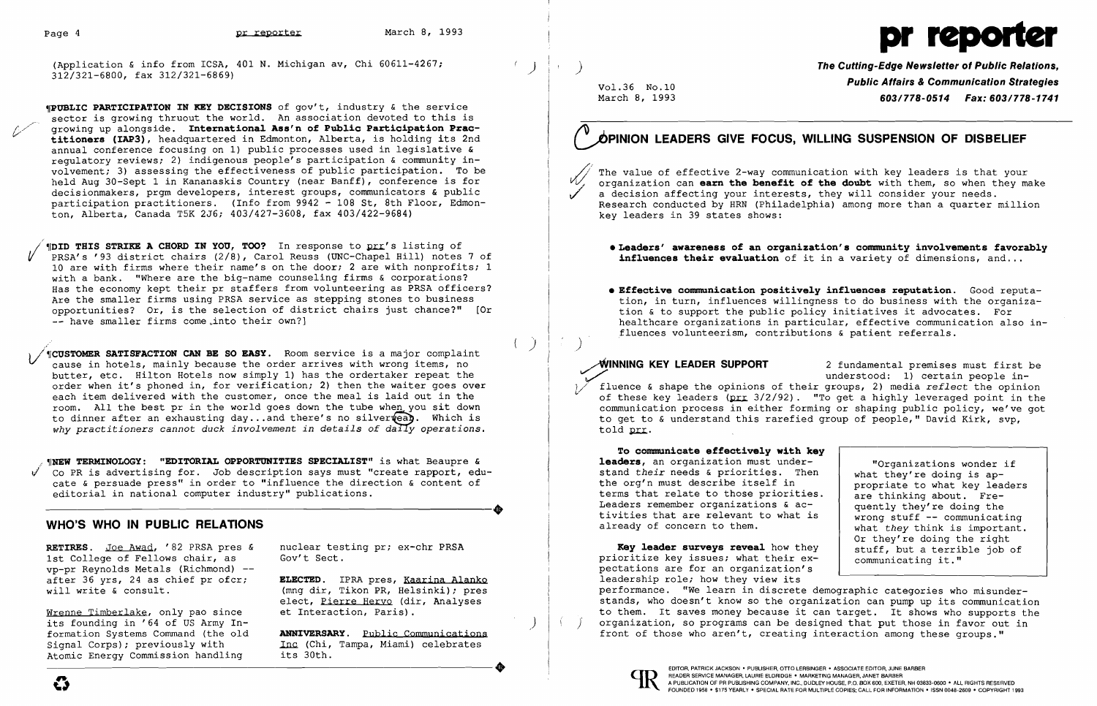(Application & info from ICSA, 401 N. Michigan av, Chi 60611-4267;  $( )$ 

./ ( **(DID THIS STRIKE A CHORD IN YOU, TOO?** In response to prr's listing of PRSA's '93 district chairs (2/8), Carol Reuss (UNC-Chapel Hill) notes 7 of 10 are with firms where their name's on the door; 2 are with nonprofits; 1 with a bank. "Where are the big-name counseling firms & corporations? Has the economy kept their pr staffers from volunteering as PRSA officers? Are the smaller firms using PRSA service as stepping stones to business opportunities? Or, is the selection of district chairs just chance?" [Or -- have smaller firms come into their own?]

**'fPUBLIC PARTICIPATION IN KEY DECISIONS** of gov't, industry & the service sector is growing thruout the world. An association devoted to this is growing up alongside. International Ass'n of Public Participation Prac-<sup>V</sup>**titioners (IAP3),** headquartered in Edmonton, Alberta, is holding its 2nd annual conference focusing on 1) public processes used in legislative & regulatory reviews; 2) indigenous people's participation & community involvement; 3) assessing the effectiveness of public participation. To be held Aug 30-Sept 1 in Kananaskis Country (near Banff), conference is for decisionmakers, prgm developers, interest groups, communicators & public participation practitioners. (Info from 9942 - 108 St, 8th Floor, Edmonton, Alberta, Canada T5K 2J6; 403/427-3608, fax 403/422-9684)

) *Vi* **,rCUSTOMER SATISFACTION CAN BE SO EASY.** Room service is a major complaint cause in hotels, mainly because the order arrives with wrong items, no butter, etc. Hilton Hotels now simply 1) has the ordertaker repeat the order when it's phoned in, for verification; 2) then the waiter goes over each item delivered with the customer, once the meal is laid out in the room. All the best pr in the world goes down the tube when you sit down to dinner after an exhausting day... and there's no silver wear. Which is why practitioners cannot duck involvement in details of daily operations.

**WHEW TERMINOLOGY: "EDITORIAL OPPORTUNITIES SPECIALIST"** is what Beaupre & V Co PR is advertising for. Job description says must "create rapport, edu cate & persuade press" in order to "influence the direction & content of<br>editorial in national computer industry" publications.<br>WHO'S WHO IN PIIRIC RELATIONS editorial in national computer industry" publications.

The value of effective 2-way communication with key leaders is that your organization can **earn the benefit of the doubt** with them, so when they make a decision affecting your interests, they will consider your needs. Research conducted by HRN (Philadelphia) among more than a quarter million key leaders in 39 states shows:

• Leaders' **awareness of an organization's community invo1vements favorab1y influences their evaluation** of it in a variety of dimensions, and...

;~INNING **KEY LEADER SUPPORT** 2 fundamental premises must first be understood: 1) certain people in-1/ fluence & shape the opinions of their groups, 2) media *reflect* the opinion of these key leaders (prr 3/2/92). "To get a highly leveraged point in the communication process in either forming or shaping public policy, we've got to get to & understand this rarefied group of people," David Kirk, svp, told prr.

To communicate effectively with ke **leaders,** an organization must understand *their* needs & priorities. Then the org'n must describe itself in terms that relate to those priorities. Leaders remember organizations & activities that are relevant to what is already of concern to them.

### **WHO'S WHO IN PUBLIC RELATIONS**

**RETIRES.** Joe Awad, '82 PRSA pres & nuclear testing pr; ex-chr PRSA lst College of Fellows chair, as Gov't Sect. 1st College of Fellows chair, as vp-pr Reynolds Metals (Richmond) --<br>after 36 yrs, 24 as chief pr ofcr; after 36 yrs, 24 as chief pr ofcr; **ELECTED**. IPRA pres, <u>Kaarina Alanko</u><br>will write & consult. (mnq dir, Tikon PR, Helsinki); pres

Wrenne Timberlake, only pao since its founding in '64 of US Army In-<br>formation Systems Command (the old formation Systems Command (the old **ANNIVERSARY.** Public Communications<br>Signal Corps): previously with **Inc (Chi, Tampa, Miami)** celebrates Atomic Energy Commission handling formation Systems Command (the old **ANNIVERSARY**. <u>Public Communications</u><br>Signal Corps); previously with Inc (Chi, Tampa, Miami) celebrates<br>Atomic Energy Commission handling its 30th.

(mng dir, Tikon PR, Helsinki); pres elect, Pierre Heryo (dir, Analyses<br>et Interaction, Paris).

Inc (Chi, Tampa, Miami) celebrates<br>its 30th.

# Page 4 **pr reporter** March 8, 1993 **pr reporter** March 8, 1993

) **The Cutting-Edge Newsletter 01 Public Relations,**  Vol.36 No.10 **Public Affairs & Communication Strategies**<br>March 8, 1993 **1741 603/778-0514 Fax: 603/778-1741** March 8, 1993 *603/778-0514 Fax: 603/778-1741* 

**• Effective communication positively influences reputation.** Good reputation, in turn, influences willingness to do business with the organization & to support the public policy initiatives it advocates. For healthcare organizations in particular, effective communication also in-

- 
- fluences volunteerism, contributions & patient referrals.

)

## ØPINION LEADERS GIVE FOCUS. WILLING SUSPENSION OF DISBELIEF

| ey |                                |
|----|--------------------------------|
|    | "Organizations wonder if       |
| n  | what they're doing is ap-      |
|    | propriate to what key leaders  |
| s. | are thinking about. Fre-       |
|    | quently they're doing the      |
| s  | wrong stuff $--$ communicating |
|    | what they think is important.  |
|    | Or they're doing the right     |
| У  | stuff, but a terrible job of   |
|    | communicating it."             |
|    |                                |

**Key 1eader surveys revea1** how they prioritize key issues; what their expectations are for an organization's leadership role; how they view its communicating it." performance. "We learn in discrete demographic categories who misunderstands, who doesn't know so the organization can pump up its communication to them. It saves money because it can target. It shows who supports the organization, so programs can be designed that put those in favor out in front of those who aren't, creating interaction among these groups."